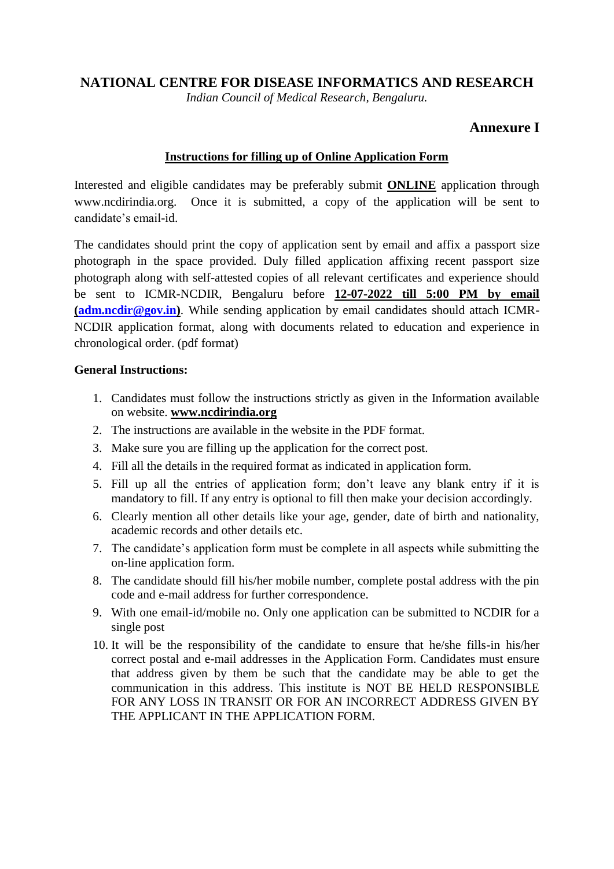## **NATIONAL CENTRE FOR DISEASE INFORMATICS AND RESEARCH**

*Indian Council of Medical Research, Bengaluru.*

# **Annexure I**

### **Instructions for filling up of Online Application Form**

Interested and eligible candidates may be preferably submit **ONLINE** application through [www.ncdirindia.org.](http://www.ncdirindia.org/) Once it is submitted, a copy of the application will be sent to candidate's email-id.

The candidates should print the copy of application sent by email and affix a passport size photograph in the space provided. Duly filled application affixing recent passport size photograph along with self-attested copies of all relevant certificates and experience should be sent to ICMR-NCDIR, Bengaluru before **12-07-2022 till 5:00 PM by email [\(adm.ncdir@gov.in\)](mailto:adm.ncdir@gov.in)**. While sending application by email candidates should attach ICMR-NCDIR application format, along with documents related to education and experience in chronological order. (pdf format)

#### **General Instructions:**

- 1. Candidates must follow the instructions strictly as given in the Information available on website. **www.ncdirindia.org**
- 2. The instructions are available in the website in the PDF format.
- 3. Make sure you are filling up the application for the correct post.
- 4. Fill all the details in the required format as indicated in application form.
- 5. Fill up all the entries of application form; don't leave any blank entry if it is mandatory to fill. If any entry is optional to fill then make your decision accordingly.
- 6. Clearly mention all other details like your age, gender, date of birth and nationality, academic records and other details etc.
- 7. The candidate's application form must be complete in all aspects while submitting the on-line application form.
- 8. The candidate should fill his/her mobile number, complete postal address with the pin code and e-mail address for further correspondence.
- 9. With one email-id/mobile no. Only one application can be submitted to NCDIR for a single post
- 10. It will be the responsibility of the candidate to ensure that he/she fills-in his/her correct postal and e-mail addresses in the Application Form. Candidates must ensure that address given by them be such that the candidate may be able to get the communication in this address. This institute is NOT BE HELD RESPONSIBLE FOR ANY LOSS IN TRANSIT OR FOR AN INCORRECT ADDRESS GIVEN BY THE APPLICANT IN THE APPLICATION FORM.